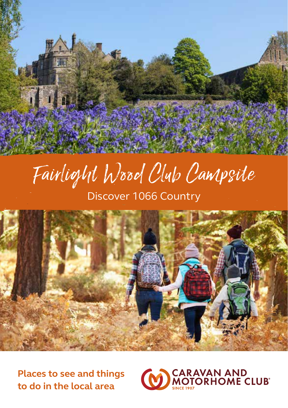# Fairlight Wood Club Campsite

Discover 1066 Country



**Places to see and things to do in the local area**

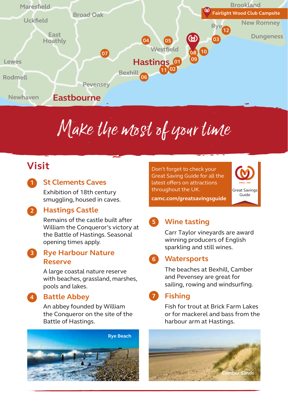

## Make the most of your time

## **Visit**

**1**

#### **St Clements Caves**

Exhibition of 18th century smuggling, housed in caves.

#### **Hastings Castle 2**

Remains of the castle built after William the Conqueror's victory at the Battle of Hastings. Seasonal opening times apply.

#### **Rye Harbour Nature 3 Reserve**

A large coastal nature reserve with beaches, grassland, marshes, pools and lakes.

**Battle Abbey 4**

An abbey founded by William the Conqueror on the site of the Battle of Hastings.



Don't forget to check your Great Saving Guide for all the latest offers on attractions throughout the UK.



**camc.com/greatsavingsguide**

#### **Wine tasting 5**

Carr Taylor vineyards are award winning producers of English sparkling and still wines.

#### **Watersports 6**

The beaches at Bexhill, Camber and Pevensey are great for sailing, rowing and windsurfing.

#### **Fishing 7**

Fish for trout at Brick Farm Lakes or for mackerel and bass from the harbour arm at Hastings.

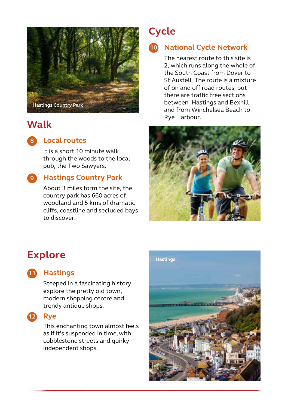

## **Walk**

#### **Local routes 8**

It is a short 10 minute walk through the woods to the local pub, the Two Sawyers.

#### **Hastings Country Park 9**

About 3 miles form the site, the country park has 660 acres of woodland and 5 kms of dramatic cliffs, coastline and secluded bays to discover.

## **Cycle**

#### **National Cycle Network 10**

The nearest route to this site is 2, which runs along the whole of the South Coast from Dover to St Austell. The route is a mixture of on and off road routes, but there are traffic free sections between Hastings and Bexhill and from Winchelsea Beach to Rye Harbour.



### **Explore**



#### **Hastings 11**

Steeped in a fascinating history, explore the pretty old town, modern shopping centre and trendy antique shops.



This enchanting town almost feels as if it's suspended in time, with cobblestone streets and quirky independent shops.